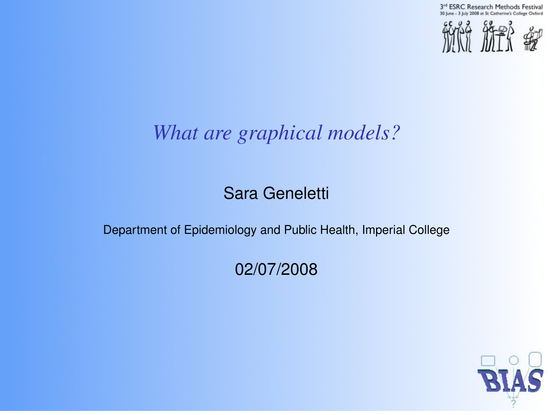3rd ESRC Research Methods Festival 30 line - 3 lists 2008 at St Catherine's College Oxford



## *What are graphical models?*

#### Sara Geneletti

#### Department of Epidemiology and Public Health, Imperial College

#### 02/07/2008

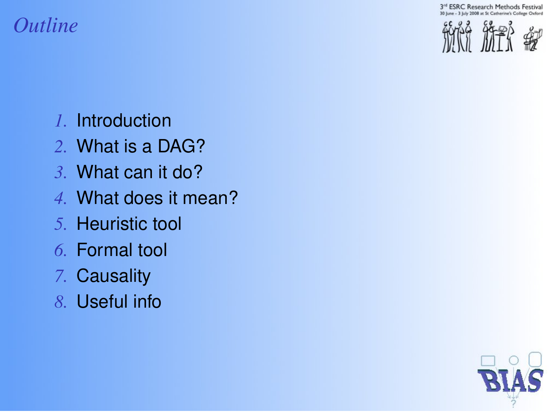3<sup>rd</sup> ESRC Research Methods Festival Catherine's College Oxford

*1.* Introduction

*Outline*

- *2.* What is a DAG?
- *3.* What can it do?
- *4.* What does it mean?
- *5.* Heuristic tool
- *6.* Formal tool
- *7.* Causality
- *8.* Useful info

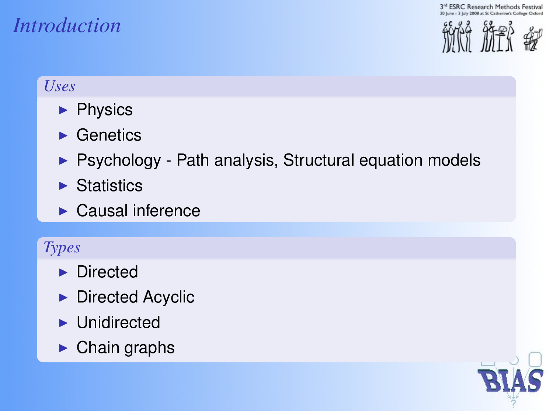# *Introduction*



#### *Uses*

- $\blacktriangleright$  Physics
- $\blacktriangleright$  Genetics
- $\triangleright$  Psychology Path analysis, Structural equation models
- $\blacktriangleright$  Statistics
- $\blacktriangleright$  Causal inference

#### *Types*

- $\blacktriangleright$  Directed
- $\blacktriangleright$  Directed Acyclic
- $\blacktriangleright$  Unidirected
- $\blacktriangleright$  Chain graphs

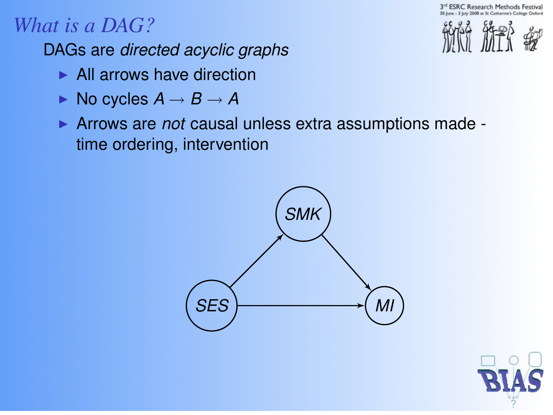**ESRC Research Methods Festival** 

## *What is a DAG?*

DAGs are *directed acyclic graphs*

- $\blacktriangleright$  All arrows have direction
- $\blacktriangleright$  No cycles  $A \rightarrow B \rightarrow A$
- **Arrows are** *not* **causal unless extra assumptions made** time ordering, intervention





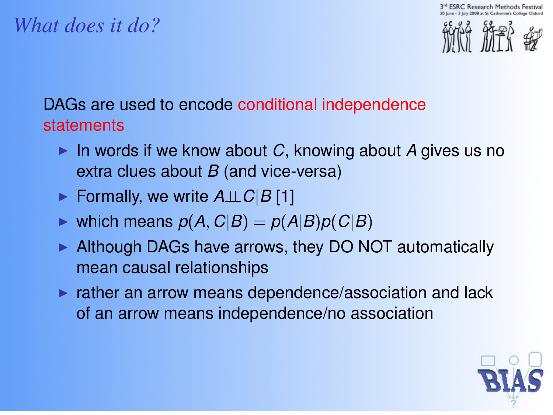**SRC Research Methods** 



#### *What does it do?*

#### DAGs are used to encode conditional independence statements

- In words if we know about  $C$ , knowing about A gives us no extra clues about *B* (and vice-versa)
- <sup>I</sup> Formally, we write *A*⊥⊥*C*|*B* [1]
- $\triangleright$  which means  $p(A, C|B) = p(A|B)p(C|B)$
- $\blacktriangleright$  Although DAGs have arrows, they DO NOT automatically mean causal relationships
- $\triangleright$  rather an arrow means dependence/association and lack of an arrow means independence/no association

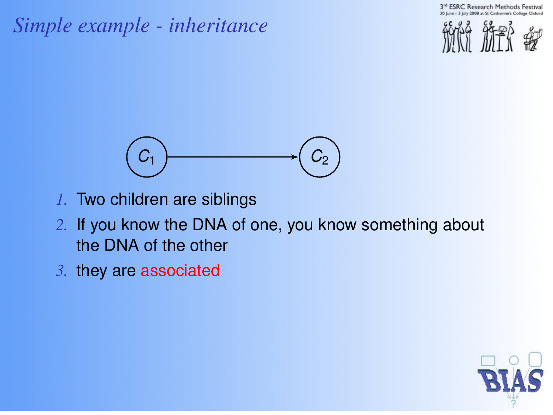## *Simple example - inheritance*





- *1.* Two children are siblings
- *2.* If you know the DNA of one, you know something about the DNA of the other
- *3.* they are associated

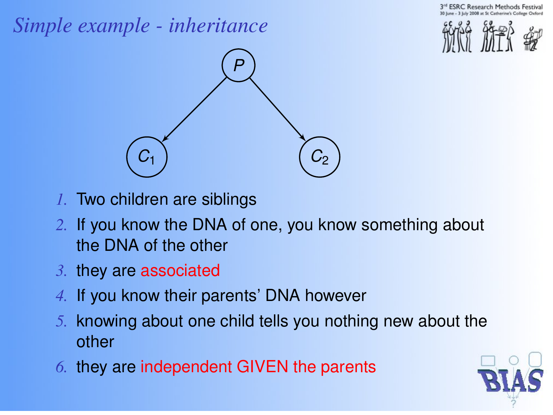**SRC Research Methods** 

## *Simple example - inheritance*





- *1.* Two children are siblings
- *2.* If you know the DNA of one, you know something about the DNA of the other
- *3.* they are associated
- *4.* If you know their parents' DNA however
- *5.* knowing about one child tells you nothing new about the other
- *6.* they are independent GIVEN the parents

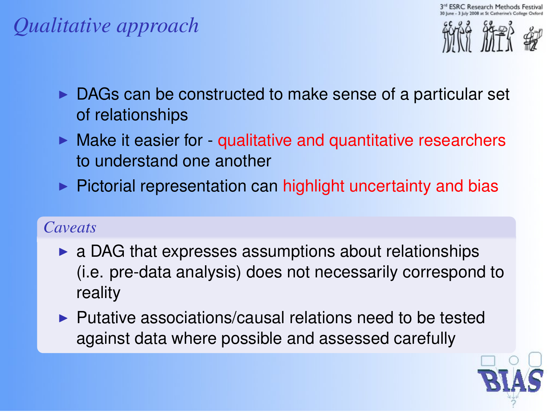## *Qualitative approach*



- $\triangleright$  DAGs can be constructed to make sense of a particular set of relationships
- $\blacktriangleright$  Make it easier for qualitative and quantitative researchers to understand one another
- $\triangleright$  Pictorial representation can highlight uncertainty and bias

#### *Caveats*

- $\triangleright$  a DAG that expresses assumptions about relationships (i.e. pre-data analysis) does not necessarily correspond to reality
- $\blacktriangleright$  Putative associations/causal relations need to be tested against data where possible and assessed carefully

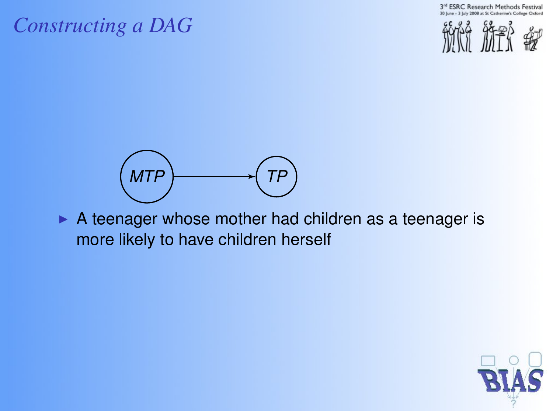3<sup>rd</sup> ESRC Research Methods Festival 2008 at St Catherine's College Oxford

#### *Constructing a DAG*





 $\triangleright$  A teenager whose mother had children as a teenager is more likely to have children herself

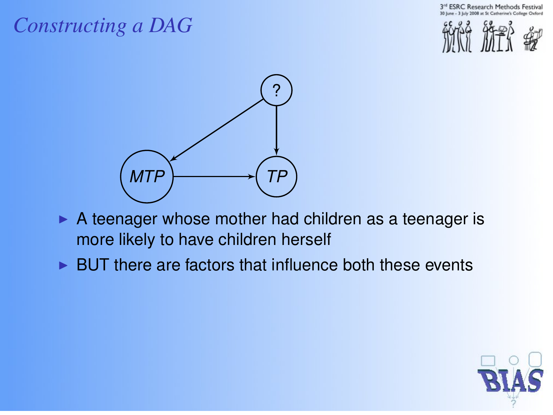**ESRC Research Methods Festival** 





- $\triangleright$  A teenager whose mother had children as a teenager is more likely to have children herself
- $\triangleright$  BUT there are factors that influence both these events

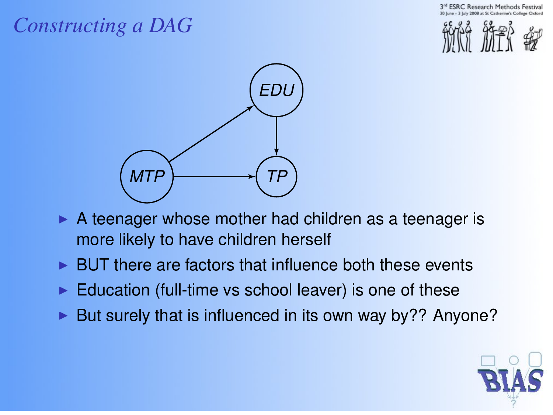**ESRC Research Methods** 





- $\triangleright$  A teenager whose mother had children as a teenager is more likely to have children herself
- BUT there are factors that influence both these events
- Education (full-time vs school leaver) is one of these
- But surely that is influenced in its own way by?? Anyone?

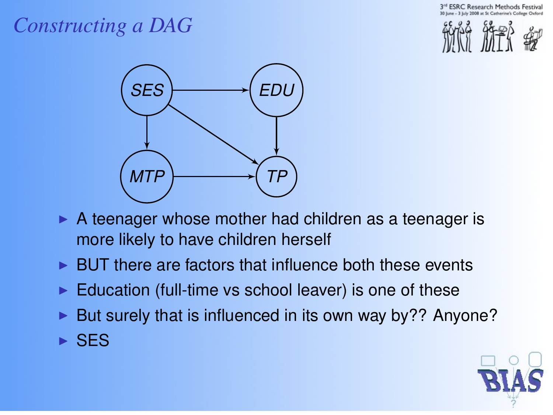**ESRC Research Methods Festiva** 



- $\triangleright$  A teenager whose mother had children as a teenager is more likely to have children herself
- BUT there are factors that influence both these events
- Education (full-time vs school leaver) is one of these
- But surely that is influenced in its own way by?? Anyone?  $\triangleright$  SES

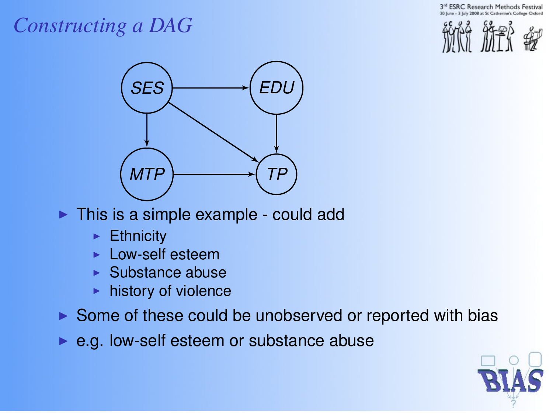



- $\triangleright$  This is a simple example could add
	- $\blacktriangleright$  Ethnicity
	- Low-self esteem
	- $\blacktriangleright$  Substance abuse
	- history of violence
- $\triangleright$  Some of these could be unobserved or reported with bias
- $\blacktriangleright$  e.g. low-self esteem or substance abuse

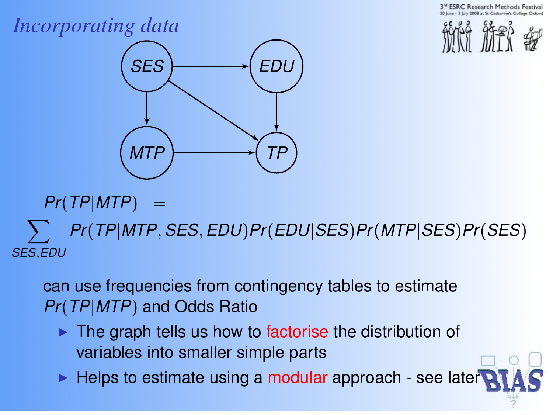**ESRC Research Methods** 

## *Incorporating data*





 $Pr(TP|MTP) =$ 

 $\sum$ *SES*,*EDU Pr*(*TP*|*MTP*, *SES*, *EDU*)*Pr*(*EDU*|*SES*)*Pr*(*MTP*|*SES*)*Pr*(*SES*)

can use frequencies from contingency tables to estimate *Pr*(*TP*|*MTP*) and Odds Ratio

- $\blacktriangleright$  The graph tells us how to factorise the distribution of variables into smaller simple parts
- $\blacktriangleright$  Helps to estimate using a modular approach see laters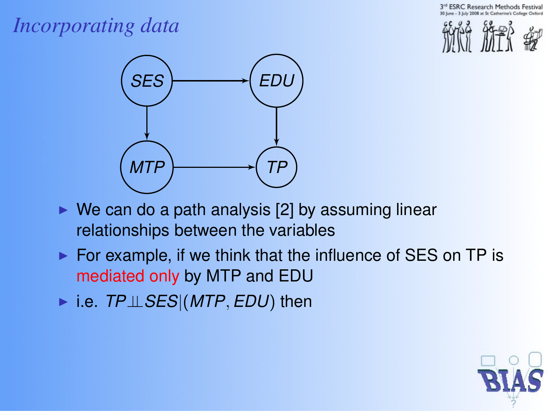

## *Incorporating data*



- $\triangleright$  We can do a path analysis [2] by assuming linear relationships between the variables
- $\triangleright$  For example, if we think that the influence of SES on TP is mediated only by MTP and EDU
- <sup>I</sup> i.e. *TP*⊥⊥*SES*|(*MTP*, *EDU*) then

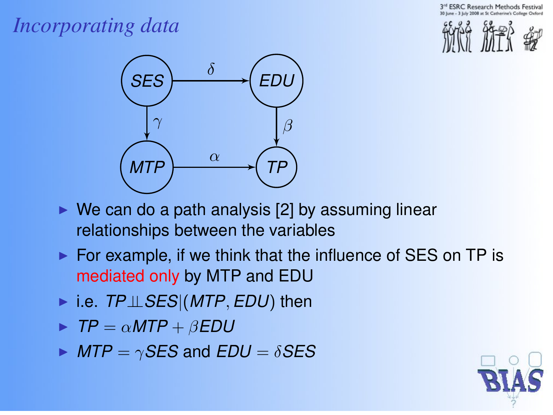**ESRC Research Methods Festiva** 

## *Incorporating data*



- $\triangleright$  We can do a path analysis [2] by assuming linear relationships between the variables
- $\triangleright$  For example, if we think that the influence of SES on TP is mediated only by MTP and EDU
- <sup>I</sup> i.e. *TP*⊥⊥*SES*|(*MTP*, *EDU*) then
- $\blacktriangleright$  *TP* =  $\alpha$ *MTP* +  $\beta$ *EDU*
- $\triangleright$  *MTP* =  $\gamma$ *SES* and *EDU* =  $\delta$ *SES*

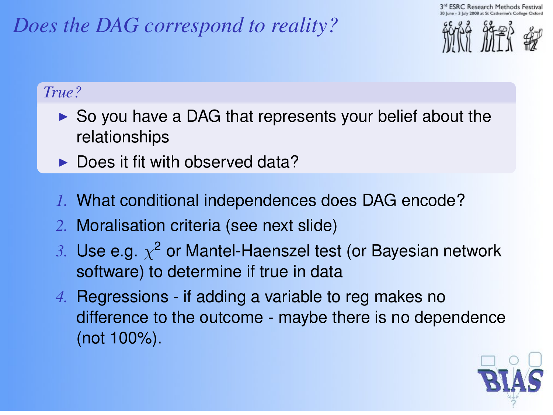## *Does the DAG correspond to reality?*



#### *True?*

- $\triangleright$  So you have a DAG that represents your belief about the relationships
- $\blacktriangleright$  Does it fit with observed data?
- *1.* What conditional independences does DAG encode?
- *2.* Moralisation criteria (see next slide)
- $\beta$ . Use e.g.  $\chi^2$  or Mantel-Haenszel test (or Bayesian network software) to determine if true in data
- *4.* Regressions if adding a variable to reg makes no difference to the outcome - maybe there is no dependence (not 100%).

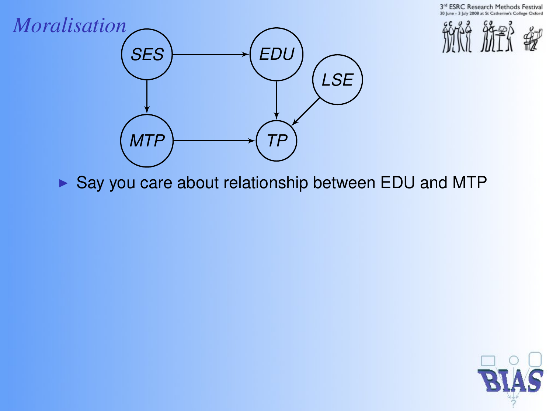3rd ESRC Research Methods Festival Catherine's College Oxford





 $\triangleright$  Say you care about relationship between EDU and MTP

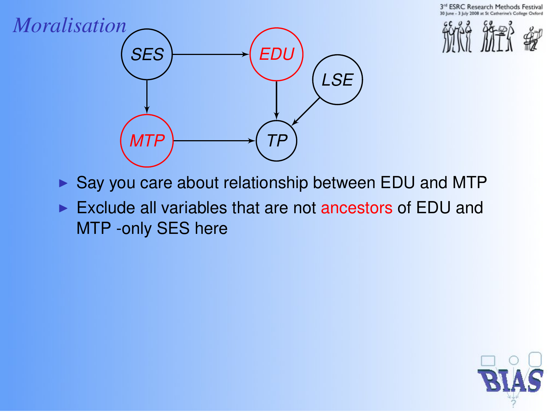



- $\triangleright$  Say you care about relationship between EDU and MTP
- $\triangleright$  Exclude all variables that are not ancestors of EDU and MTP -only SES here

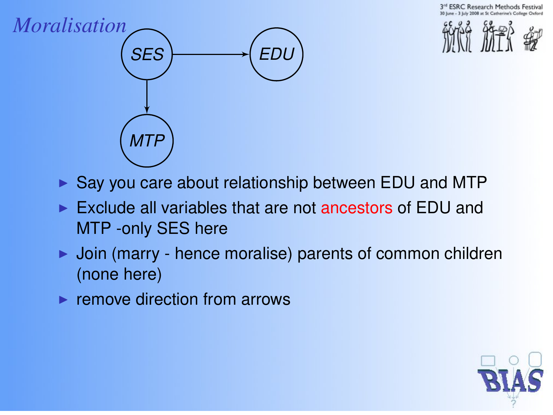**ESRC Research Methods Festiva** 





- $\triangleright$  Say you care about relationship between EDU and MTP
- $\blacktriangleright$  Exclude all variables that are not ancestors of EDU and MTP -only SES here
- Join (marry hence moralise) parents of common children (none here)
- $\blacktriangleright$  remove direction from arrows

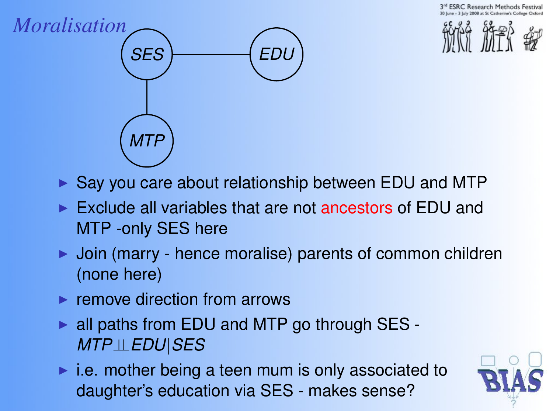**ESRC Research Methods** 





- $\triangleright$  Say you care about relationship between EDU and MTP
- $\triangleright$  Exclude all variables that are not ancestors of EDU and MTP -only SES here
- $\triangleright$  Join (marry hence moralise) parents of common children (none here)
- $\blacktriangleright$  remove direction from arrows
- $\triangleright$  all paths from EDU and MTP go through SES -*MTP*⊥⊥*EDU*|*SES*
- $\blacktriangleright$  i.e. mother being a teen mum is only associated to daughter's education via SES - makes sense?

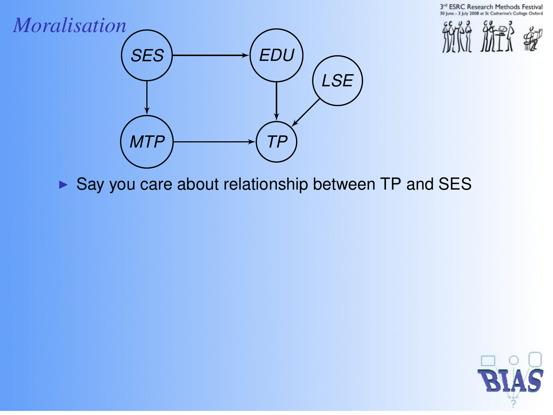3rd ESRC Research Methods Festival Catherine's College Oxford





 $\triangleright$  Say you care about relationship between TP and SES

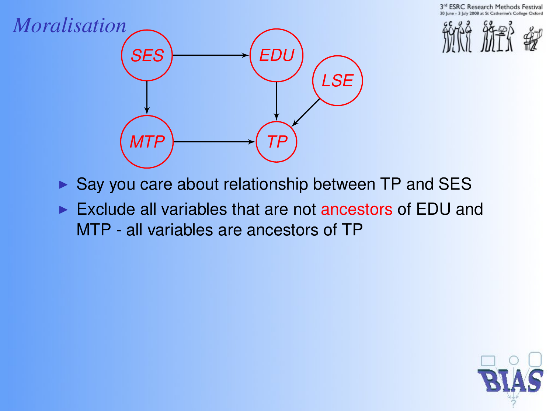



- $\triangleright$  Say you care about relationship between TP and SES
- $\triangleright$  Exclude all variables that are not ancestors of EDU and MTP - all variables are ancestors of TP

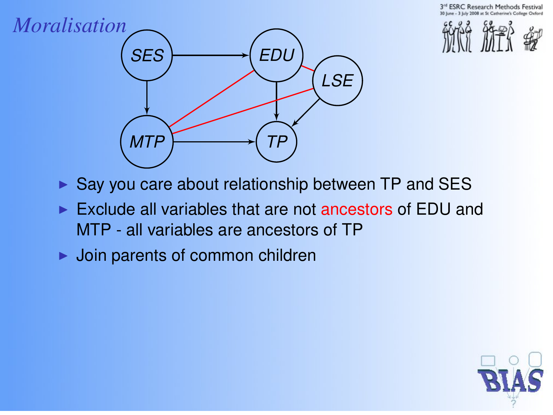



- $\triangleright$  Say you care about relationship between TP and SES
- $\triangleright$  Exclude all variables that are not ancestors of EDU and MTP - all variables are ancestors of TP
- $\blacktriangleright$  Join parents of common children

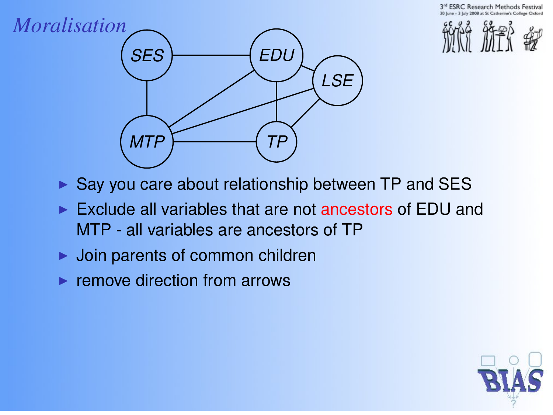**ESRC Research Methods Festival** 





- $\triangleright$  Say you care about relationship between TP and SES
- $\triangleright$  Exclude all variables that are not ancestors of EDU and MTP - all variables are ancestors of TP
- Join parents of common children
- $\blacktriangleright$  remove direction from arrows

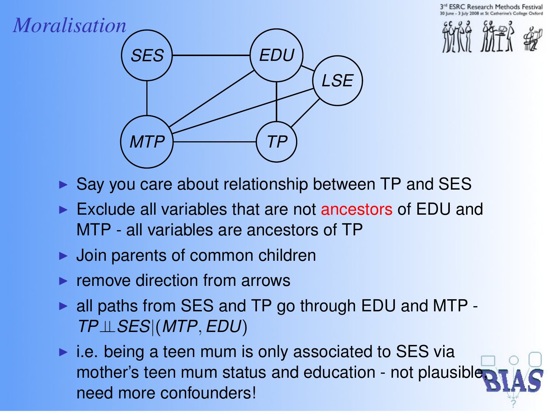**ESRC Research Methods** 





- $\triangleright$  Say you care about relationship between TP and SES
- $\triangleright$  Exclude all variables that are not ancestors of EDU and MTP - all variables are ancestors of TP
- $\blacktriangleright$  Join parents of common children
- $\blacktriangleright$  remove direction from arrows
- $\triangleright$  all paths from SES and TP go through EDU and MTP -*TP*⊥⊥*SES*|(*MTP*, *EDU*)
- $\blacktriangleright$  i.e. being a teen mum is only associated to SES via mother's teen mum status and education - not plausible, need more confounders!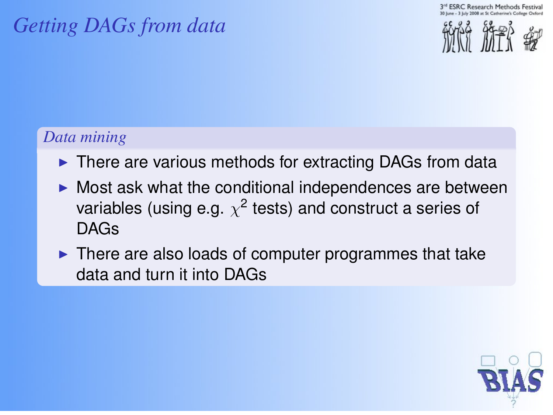## *Getting DAGs from data*

**ESRC Research Methods Festival** 



#### *Data mining*

- $\triangleright$  There are various methods for extracting DAGs from data
- $\triangleright$  Most ask what the conditional independences are between variables (using e.g.  $\chi^2$  tests) and construct a series of DAGs
- $\blacktriangleright$  There are also loads of computer programmes that take data and turn it into DAGs

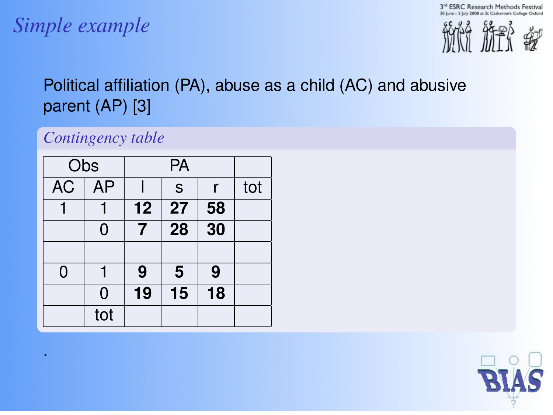3rd ESRC Research Methods Festival 30 line - 3 lists 2008 at St Catherine's College Oxford

## *Simple example*

.



#### Political affiliation (PA), abuse as a child (AC) and abusive parent (AP) [3]

#### *Contingency table*

|           | Obs       |             |                  |                 |     |  |
|-----------|-----------|-------------|------------------|-----------------|-----|--|
| <b>AC</b> | <b>AP</b> |             | $\mathsf S$<br>r |                 | tot |  |
|           |           | 12          | 27               | 58              |     |  |
|           | 0         | 7           | 28               | $\overline{30}$ |     |  |
|           |           |             |                  |                 |     |  |
| 0         |           | 5<br>9<br>9 |                  |                 |     |  |
|           | 0         | 19          | 15               | 18              |     |  |
|           | tot       |             |                  |                 |     |  |

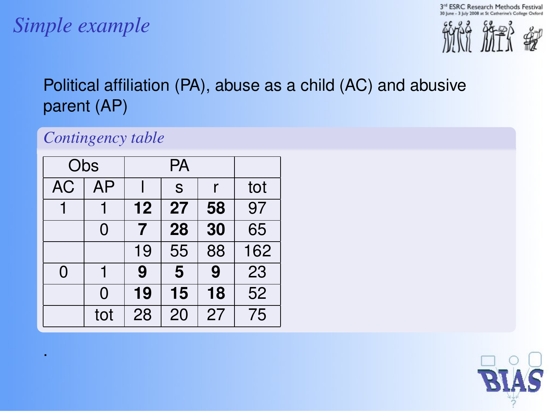3rd ESRC Research Methods Festival 30 line - 3 lists 2008 at St Catherine's College Oxford

## *Simple example*

.



#### Political affiliation (PA), abuse as a child (AC) and abusive parent (AP)

#### *Contingency table*

| Obs       |     |    |    |    |                 |  |
|-----------|-----|----|----|----|-----------------|--|
| <b>AC</b> | AP  |    | S  | r  | tot             |  |
|           |     | 12 | 27 | 58 | $\overline{97}$ |  |
|           | 0   | 7  | 28 | 30 | 65              |  |
|           |     | 19 | 55 | 88 | 162             |  |
| 0         | 1   | 9  | 5  | 9  | 23              |  |
|           | 0   | 19 | 15 | 18 | 52              |  |
|           | tot | 28 | 20 | 27 | $\overline{75}$ |  |

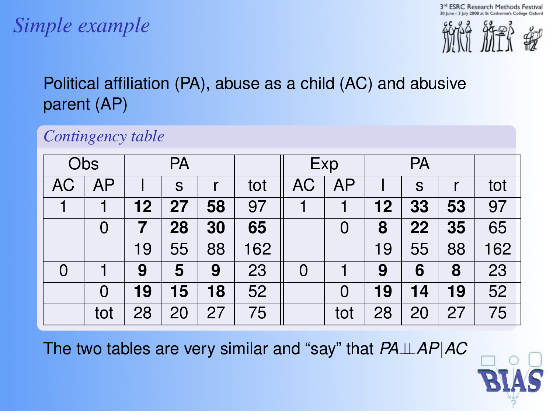## *Simple example*



#### Political affiliation (PA), abuse as a child (AC) and abusive parent (AP)

#### *Contingency table*

|    | PA<br>Obs |    |    | Exp |     | PA |     |    |    |    |     |
|----|-----------|----|----|-----|-----|----|-----|----|----|----|-----|
| AC | AP        |    | s  |     | tot | АC | AP  |    | s  |    | tot |
|    |           | 12 | 27 | 58  | 97  |    |     | 12 | 33 | 53 | 97  |
|    | 0         |    | 28 | 30  | 65  |    | 0   | 8  | 22 | 35 | 65  |
|    |           | 19 | 55 | 88  | 162 |    |     | 19 | 55 | 88 | 162 |
| 0  |           | 9  | 5  | 9   | 23  | 0  |     | 9  | 6  | 8  | 23  |
|    | 0         | 19 | 15 | 18  | 52  |    | 0   | 19 | 14 | 19 | 52  |
|    | tot       | 28 | 20 | 27  | 75  |    | tot | 28 | 20 | 27 | 75  |

The two tables are very similar and "say" that *PA*⊥⊥*AP*|*AC*

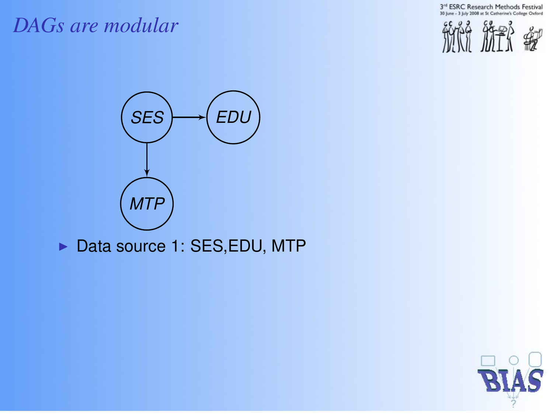3<sup>rd</sup> ESRC Research Methods Festival<br>30 June - 3 July 2008 at St Catherine's College Oxford

#### *DAGs are modular*





▶ Data source 1: SES, EDU, MTP

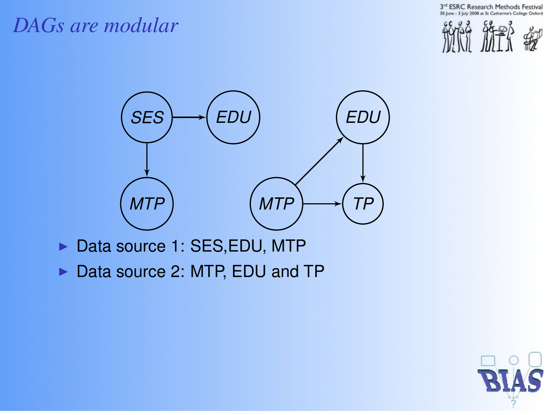3<sup>rd</sup> ESRC Research Methods Festival Catherine's College Oxford

#### *DAGs are modular*





- Data source 1: SES, EDU, MTP
- Data source 2: MTP, EDU and TP

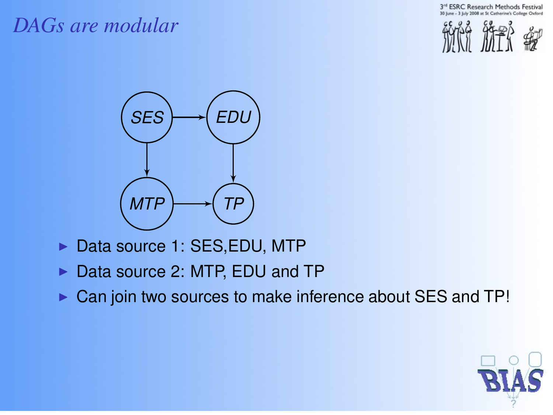#### *DAGs are modular*





- Data source 1: SES, EDU, MTP
- Data source 2: MTP, EDU and TP
- $\triangleright$  Can join two sources to make inference about SES and TP!

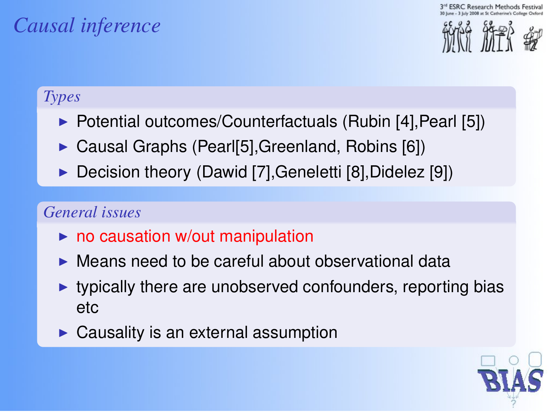**ESRC Research Methods** 

## *Causal inference*



#### *Types*

- ▶ Potential outcomes/Counterfactuals (Rubin [4], Pearl [5])
- Causal Graphs (Pearl[5], Greenland, Robins [6])
- Decision theory (Dawid [7], Geneletti [8], Didelez [9])

#### *General issues*

- $\triangleright$  no causation w/out manipulation
- $\triangleright$  Means need to be careful about observational data
- $\blacktriangleright$  typically there are unobserved confounders, reporting bias etc
- $\triangleright$  Causality is an external assumption